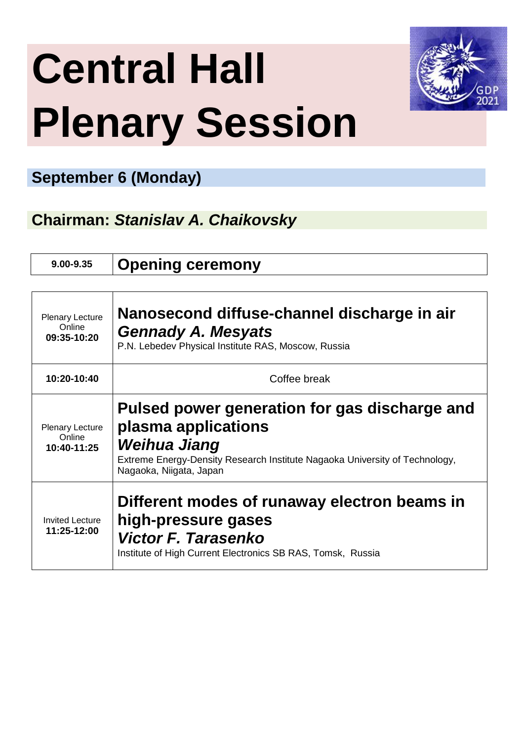# **Central Hall Plenary Session**



#### **September 6 (Monday)**

**Chairman:** *Stanislav A. Chaikovsky*

**9.00-9.35 Opening ceremony** 

| Plenary Lecture<br>Online<br>09:35-10:20        | Nanosecond diffuse-channel discharge in air<br><b>Gennady A. Mesyats</b><br>P.N. Lebedev Physical Institute RAS, Moscow, Russia                                                                |  |
|-------------------------------------------------|------------------------------------------------------------------------------------------------------------------------------------------------------------------------------------------------|--|
| 10:20-10:40                                     | Coffee break                                                                                                                                                                                   |  |
| <b>Plenary Lecture</b><br>Online<br>10:40-11:25 | Pulsed power generation for gas discharge and<br>plasma applications<br>Weihua Jiang<br>Extreme Energy-Density Research Institute Nagaoka University of Technology,<br>Nagaoka, Niigata, Japan |  |
| <b>Invited Lecture</b><br>11:25-12:00           | Different modes of runaway electron beams in<br>high-pressure gases<br>Victor F. Tarasenko<br>Institute of High Current Electronics SB RAS, Tomsk, Russia                                      |  |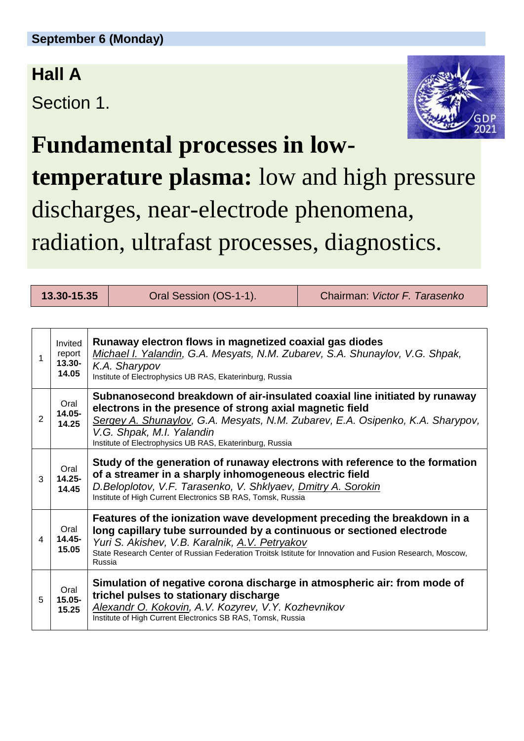### **Hall A**

Section 1.



**Fundamental processes in lowtemperature plasma:** low and high pressure discharges, near-electrode phenomena, radiation, ultrafast processes, diagnostics.

**13.30-15.35** Oral Session (OS-1-1). Chairman: *Victor F. Tarasenko*

| 1 | Invited<br>report<br>$13.30 -$<br>14.05 | Runaway electron flows in magnetized coaxial gas diodes<br>Michael I. Yalandin, G.A. Mesyats, N.M. Zubarev, S.A. Shunaylov, V.G. Shpak,<br>K.A. Sharypov<br>Institute of Electrophysics UB RAS, Ekaterinburg, Russia                                                                                                      |
|---|-----------------------------------------|---------------------------------------------------------------------------------------------------------------------------------------------------------------------------------------------------------------------------------------------------------------------------------------------------------------------------|
| 2 | Oral<br>14.05-<br>14.25                 | Subnanosecond breakdown of air-insulated coaxial line initiated by runaway<br>electrons in the presence of strong axial magnetic field<br>Sergey A. Shunaylov, G.A. Mesyats, N.M. Zubarev, E.A. Osipenko, K.A. Sharypov,<br>V.G. Shpak, M.I. Yalandin<br>Institute of Electrophysics UB RAS, Ekaterinburg, Russia         |
| 3 | Oral<br>$14.25 -$<br>14.45              | Study of the generation of runaway electrons with reference to the formation<br>of a streamer in a sharply inhomogeneous electric field<br>D.Beloplotov, V.F. Tarasenko, V. Shklyaev, Dmitry A. Sorokin<br>Institute of High Current Electronics SB RAS, Tomsk, Russia                                                    |
| 4 | Oral<br>14.45-<br>15.05                 | Features of the ionization wave development preceding the breakdown in a<br>long capillary tube surrounded by a continuous or sectioned electrode<br>Yuri S. Akishev, V.B. Karalnik, A.V. Petryakov<br>State Research Center of Russian Federation Troitsk Istitute for Innovation and Fusion Research, Moscow,<br>Russia |
| 5 | Oral<br>$15.05 -$<br>15.25              | Simulation of negative corona discharge in atmospheric air: from mode of<br>trichel pulses to stationary discharge<br>Alexandr O. Kokovin, A.V. Kozyrev, V.Y. Kozhevnikov<br>Institute of High Current Electronics SB RAS, Tomsk, Russia                                                                                  |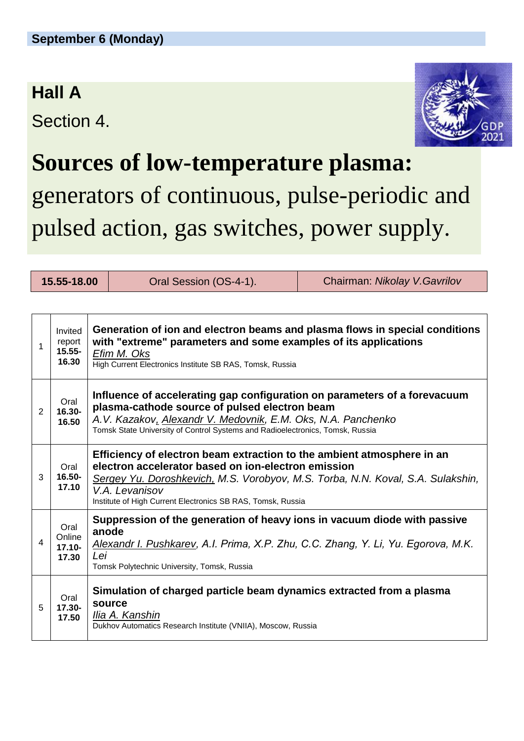### **Hall A**

Section 4.



### **Sources of low-temperature plasma:**

### generators of continuous, pulse-periodic and pulsed action, gas switches, power supply.

| 15.55-18.00 |                                         |                                                                                                                                                                                                                                                                                                   | Oral Session (OS-4-1). | Chairman: Nikolay V. Gavrilov |
|-------------|-----------------------------------------|---------------------------------------------------------------------------------------------------------------------------------------------------------------------------------------------------------------------------------------------------------------------------------------------------|------------------------|-------------------------------|
|             |                                         |                                                                                                                                                                                                                                                                                                   |                        |                               |
| 1           | Invited<br>report<br>$15.55 -$<br>16.30 | Generation of ion and electron beams and plasma flows in special conditions<br>with "extreme" parameters and some examples of its applications<br>Efim M. Oks<br>High Current Electronics Institute SB RAS, Tomsk, Russia                                                                         |                        |                               |
| 2           | Oral<br>16.30-<br>16.50                 | Influence of accelerating gap configuration on parameters of a forevacuum<br>plasma-cathode source of pulsed electron beam<br>A.V. Kazakov, Alexandr V. Medovnik, E.M. Oks, N.A. Panchenko<br>Tomsk State University of Control Systems and Radioelectronics, Tomsk, Russia                       |                        |                               |
| 3           | Oral<br>16.50-<br>17.10                 | Efficiency of electron beam extraction to the ambient atmosphere in an<br>electron accelerator based on ion-electron emission<br>Sergey Yu. Doroshkevich, M.S. Vorobyov, M.S. Torba, N.N. Koval, S.A. Sulakshin,<br>V.A. Levanisov<br>Institute of High Current Electronics SB RAS, Tomsk, Russia |                        |                               |
| 4           | Oral<br>Online<br>$17.10 -$<br>17.30    | Suppression of the generation of heavy ions in vacuum diode with passive<br>anode<br>Alexandr I. Pushkarev, A.I. Prima, X.P. Zhu, C.C. Zhang, Y. Li, Yu. Egorova, M.K.<br>Lei<br>Tomsk Polytechnic University, Tomsk, Russia                                                                      |                        |                               |
| 5           | Oral<br>17.30-<br>17.50                 | Simulation of charged particle beam dynamics extracted from a plasma<br>source<br>Ilia A. Kanshin<br>Dukhov Automatics Research Institute (VNIIA), Moscow, Russia                                                                                                                                 |                        |                               |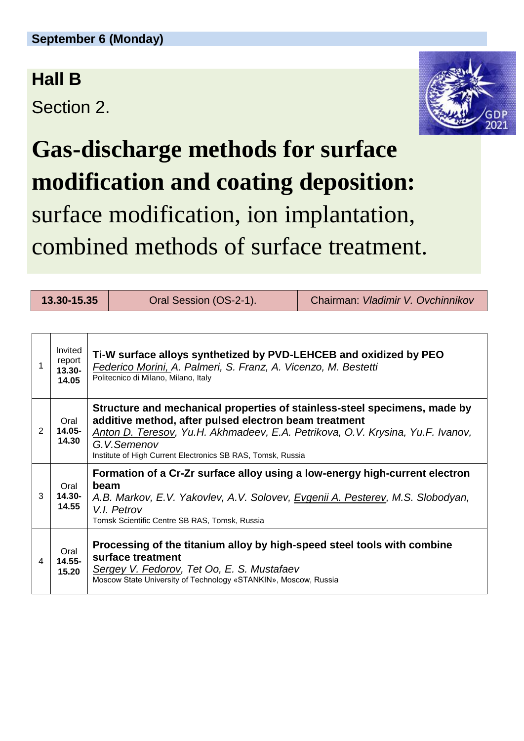#### **Hall B**

Section 2.



## **Gas-discharge methods for surface modification and coating deposition:** surface modification, ion implantation, combined methods of surface treatment.

| 13.30-15.35 |                                      |                                                                                                                                                                                                                                                                                                    | Oral Session (OS-2-1). | Chairman: Vladimir V. Ovchinnikov |
|-------------|--------------------------------------|----------------------------------------------------------------------------------------------------------------------------------------------------------------------------------------------------------------------------------------------------------------------------------------------------|------------------------|-----------------------------------|
|             |                                      |                                                                                                                                                                                                                                                                                                    |                        |                                   |
| 1           | Invited<br>report<br>13.30-<br>14.05 | Ti-W surface alloys synthetized by PVD-LEHCEB and oxidized by PEO<br>Federico Morini, A. Palmeri, S. Franz, A. Vicenzo, M. Bestetti<br>Politecnico di Milano, Milano, Italy                                                                                                                        |                        |                                   |
| 2           | Oral<br>$14.05 -$<br>14.30           | Structure and mechanical properties of stainless-steel specimens, made by<br>additive method, after pulsed electron beam treatment<br>Anton D. Teresov, Yu.H. Akhmadeev, E.A. Petrikova, O.V. Krysina, Yu.F. Ivanov,<br>G.V.Semenov<br>Institute of High Current Electronics SB RAS, Tomsk, Russia |                        |                                   |
| 3           | Oral<br>$14.30 -$<br>14.55           | Formation of a Cr-Zr surface alloy using a low-energy high-current electron<br>beam<br>A.B. Markov, E.V. Yakovlev, A.V. Solovev, Evgenii A. Pesterev, M.S. Slobodyan,<br>V.I. Petrov<br>Tomsk Scientific Centre SB RAS, Tomsk, Russia                                                              |                        |                                   |
| 4           | Oral<br>$14.55 -$<br>15.20           | Processing of the titanium alloy by high-speed steel tools with combine<br>surface treatment<br>Sergey V. Fedorov, Tet Oo, E. S. Mustafaev<br>Moscow State University of Technology «STANKIN», Moscow, Russia                                                                                      |                        |                                   |